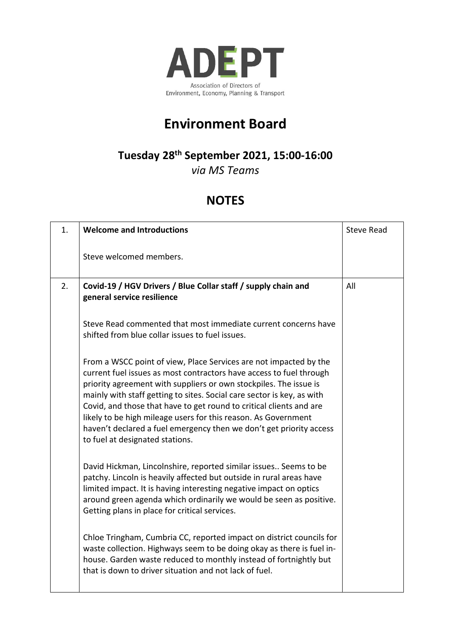

## **Environment Board**

## **Tuesday 28th September 2021, 15:00-16:00**

*via MS Teams*

## **NOTES**

| 1. | <b>Welcome and Introductions</b>                                                                                                                                                                                                                                                                                                                                                                                                                                                                                                           | <b>Steve Read</b> |
|----|--------------------------------------------------------------------------------------------------------------------------------------------------------------------------------------------------------------------------------------------------------------------------------------------------------------------------------------------------------------------------------------------------------------------------------------------------------------------------------------------------------------------------------------------|-------------------|
|    | Steve welcomed members.                                                                                                                                                                                                                                                                                                                                                                                                                                                                                                                    |                   |
| 2. | Covid-19 / HGV Drivers / Blue Collar staff / supply chain and<br>general service resilience                                                                                                                                                                                                                                                                                                                                                                                                                                                | All               |
|    | Steve Read commented that most immediate current concerns have<br>shifted from blue collar issues to fuel issues.                                                                                                                                                                                                                                                                                                                                                                                                                          |                   |
|    | From a WSCC point of view, Place Services are not impacted by the<br>current fuel issues as most contractors have access to fuel through<br>priority agreement with suppliers or own stockpiles. The issue is<br>mainly with staff getting to sites. Social care sector is key, as with<br>Covid, and those that have to get round to critical clients and are<br>likely to be high mileage users for this reason. As Government<br>haven't declared a fuel emergency then we don't get priority access<br>to fuel at designated stations. |                   |
|    | David Hickman, Lincolnshire, reported similar issues Seems to be<br>patchy. Lincoln is heavily affected but outside in rural areas have<br>limited impact. It is having interesting negative impact on optics<br>around green agenda which ordinarily we would be seen as positive.<br>Getting plans in place for critical services.                                                                                                                                                                                                       |                   |
|    | Chloe Tringham, Cumbria CC, reported impact on district councils for<br>waste collection. Highways seem to be doing okay as there is fuel in-<br>house. Garden waste reduced to monthly instead of fortnightly but<br>that is down to driver situation and not lack of fuel.                                                                                                                                                                                                                                                               |                   |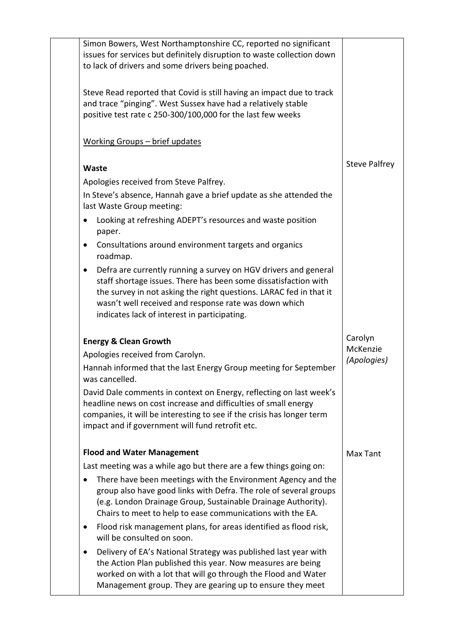|           | Simon Bowers, West Northamptonshire CC, reported no significant<br>issues for services but definitely disruption to waste collection down<br>to lack of drivers and some drivers being poached.                                                                                                                   |                         |
|-----------|-------------------------------------------------------------------------------------------------------------------------------------------------------------------------------------------------------------------------------------------------------------------------------------------------------------------|-------------------------|
|           | Steve Read reported that Covid is still having an impact due to track<br>and trace "pinging". West Sussex have had a relatively stable<br>positive test rate c 250-300/100,000 for the last few weeks                                                                                                             |                         |
|           | <u> Working Groups – brief updates</u>                                                                                                                                                                                                                                                                            |                         |
|           | Waste                                                                                                                                                                                                                                                                                                             | <b>Steve Palfrey</b>    |
|           | Apologies received from Steve Palfrey.                                                                                                                                                                                                                                                                            |                         |
|           | In Steve's absence, Hannah gave a brief update as she attended the<br>last Waste Group meeting:                                                                                                                                                                                                                   |                         |
|           | Looking at refreshing ADEPT's resources and waste position<br>paper.                                                                                                                                                                                                                                              |                         |
| $\bullet$ | Consultations around environment targets and organics<br>roadmap.                                                                                                                                                                                                                                                 |                         |
| $\bullet$ | Defra are currently running a survey on HGV drivers and general<br>staff shortage issues. There has been some dissatisfaction with<br>the survey in not asking the right questions. LARAC fed in that it<br>wasn't well received and response rate was down which<br>indicates lack of interest in participating. |                         |
|           | <b>Energy &amp; Clean Growth</b>                                                                                                                                                                                                                                                                                  | Carolyn                 |
|           | Apologies received from Carolyn.                                                                                                                                                                                                                                                                                  | McKenzie<br>(Apologies) |
|           | Hannah informed that the last Energy Group meeting for September<br>was cancelled.                                                                                                                                                                                                                                |                         |
|           | David Dale comments in context on Energy, reflecting on last week's<br>headline news on cost increase and difficulties of small energy<br>companies, it will be interesting to see if the crisis has longer term<br>impact and if government will fund retrofit etc.                                              |                         |
|           | <b>Flood and Water Management</b>                                                                                                                                                                                                                                                                                 | Max Tant                |
|           | Last meeting was a while ago but there are a few things going on:                                                                                                                                                                                                                                                 |                         |
|           | There have been meetings with the Environment Agency and the<br>group also have good links with Defra. The role of several groups<br>(e.g. London Drainage Group, Sustainable Drainage Authority).<br>Chairs to meet to help to ease communications with the EA.                                                  |                         |
|           | Flood risk management plans, for areas identified as flood risk,<br>will be consulted on soon.                                                                                                                                                                                                                    |                         |
|           | Delivery of EA's National Strategy was published last year with<br>the Action Plan published this year. Now measures are being<br>worked on with a lot that will go through the Flood and Water<br>Management group. They are gearing up to ensure they meet                                                      |                         |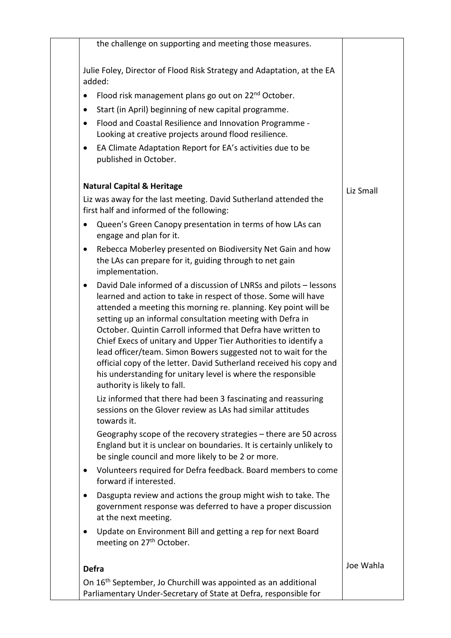|              | the challenge on supporting and meeting those measures.                                                                                                                                                                                                                                                                                                                                                                                                                                                                                                                                                                                        |           |
|--------------|------------------------------------------------------------------------------------------------------------------------------------------------------------------------------------------------------------------------------------------------------------------------------------------------------------------------------------------------------------------------------------------------------------------------------------------------------------------------------------------------------------------------------------------------------------------------------------------------------------------------------------------------|-----------|
|              | Julie Foley, Director of Flood Risk Strategy and Adaptation, at the EA<br>added:                                                                                                                                                                                                                                                                                                                                                                                                                                                                                                                                                               |           |
| $\bullet$    | Flood risk management plans go out on 22 <sup>nd</sup> October.                                                                                                                                                                                                                                                                                                                                                                                                                                                                                                                                                                                |           |
| $\bullet$    | Start (in April) beginning of new capital programme.                                                                                                                                                                                                                                                                                                                                                                                                                                                                                                                                                                                           |           |
| ٠            | Flood and Coastal Resilience and Innovation Programme -<br>Looking at creative projects around flood resilience.                                                                                                                                                                                                                                                                                                                                                                                                                                                                                                                               |           |
| ٠            | EA Climate Adaptation Report for EA's activities due to be<br>published in October.                                                                                                                                                                                                                                                                                                                                                                                                                                                                                                                                                            |           |
|              | <b>Natural Capital &amp; Heritage</b>                                                                                                                                                                                                                                                                                                                                                                                                                                                                                                                                                                                                          | Liz Small |
|              | Liz was away for the last meeting. David Sutherland attended the<br>first half and informed of the following:                                                                                                                                                                                                                                                                                                                                                                                                                                                                                                                                  |           |
| ٠            | Queen's Green Canopy presentation in terms of how LAs can<br>engage and plan for it.                                                                                                                                                                                                                                                                                                                                                                                                                                                                                                                                                           |           |
| $\bullet$    | Rebecca Moberley presented on Biodiversity Net Gain and how<br>the LAs can prepare for it, guiding through to net gain<br>implementation.                                                                                                                                                                                                                                                                                                                                                                                                                                                                                                      |           |
| $\bullet$    | David Dale informed of a discussion of LNRSs and pilots - lessons<br>learned and action to take in respect of those. Some will have<br>attended a meeting this morning re. planning. Key point will be<br>setting up an informal consultation meeting with Defra in<br>October. Quintin Carroll informed that Defra have written to<br>Chief Execs of unitary and Upper Tier Authorities to identify a<br>lead officer/team. Simon Bowers suggested not to wait for the<br>official copy of the letter. David Sutherland received his copy and<br>his understanding for unitary level is where the responsible<br>authority is likely to fall. |           |
|              | Liz informed that there had been 3 fascinating and reassuring<br>sessions on the Glover review as LAs had similar attitudes<br>towards it.                                                                                                                                                                                                                                                                                                                                                                                                                                                                                                     |           |
|              | Geography scope of the recovery strategies – there are 50 across<br>England but it is unclear on boundaries. It is certainly unlikely to<br>be single council and more likely to be 2 or more.                                                                                                                                                                                                                                                                                                                                                                                                                                                 |           |
|              | Volunteers required for Defra feedback. Board members to come<br>forward if interested.                                                                                                                                                                                                                                                                                                                                                                                                                                                                                                                                                        |           |
|              | Dasgupta review and actions the group might wish to take. The<br>government response was deferred to have a proper discussion<br>at the next meeting.                                                                                                                                                                                                                                                                                                                                                                                                                                                                                          |           |
| $\bullet$    | Update on Environment Bill and getting a rep for next Board<br>meeting on 27 <sup>th</sup> October.                                                                                                                                                                                                                                                                                                                                                                                                                                                                                                                                            |           |
| <b>Defra</b> |                                                                                                                                                                                                                                                                                                                                                                                                                                                                                                                                                                                                                                                | Joe Wahla |
|              | On 16 <sup>th</sup> September, Jo Churchill was appointed as an additional<br>Parliamentary Under-Secretary of State at Defra, responsible for                                                                                                                                                                                                                                                                                                                                                                                                                                                                                                 |           |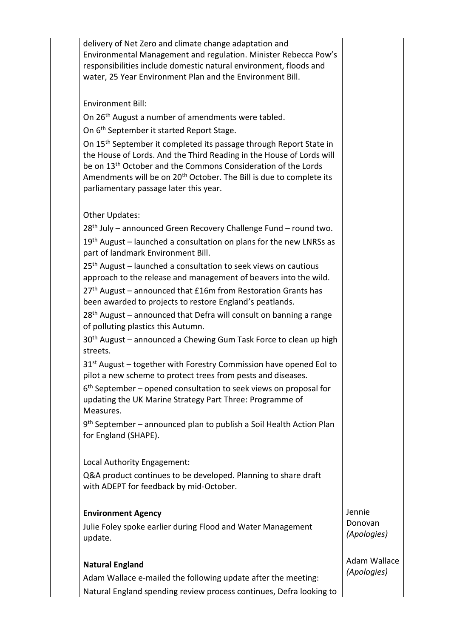| delivery of Net Zero and climate change adaptation and<br>Environmental Management and regulation. Minister Rebecca Pow's<br>responsibilities include domestic natural environment, floods and<br>water, 25 Year Environment Plan and the Environment Bill.                                                                                                      |                        |
|------------------------------------------------------------------------------------------------------------------------------------------------------------------------------------------------------------------------------------------------------------------------------------------------------------------------------------------------------------------|------------------------|
|                                                                                                                                                                                                                                                                                                                                                                  |                        |
| <b>Environment Bill:</b>                                                                                                                                                                                                                                                                                                                                         |                        |
| On 26 <sup>th</sup> August a number of amendments were tabled.                                                                                                                                                                                                                                                                                                   |                        |
| On 6 <sup>th</sup> September it started Report Stage.                                                                                                                                                                                                                                                                                                            |                        |
| On 15 <sup>th</sup> September it completed its passage through Report State in<br>the House of Lords. And the Third Reading in the House of Lords will<br>be on 13 <sup>th</sup> October and the Commons Consideration of the Lords<br>Amendments will be on 20 <sup>th</sup> October. The Bill is due to complete its<br>parliamentary passage later this year. |                        |
| Other Updates:                                                                                                                                                                                                                                                                                                                                                   |                        |
| 28 <sup>th</sup> July – announced Green Recovery Challenge Fund – round two.                                                                                                                                                                                                                                                                                     |                        |
| $19th$ August – launched a consultation on plans for the new LNRSs as<br>part of landmark Environment Bill.                                                                                                                                                                                                                                                      |                        |
| 25 <sup>th</sup> August - launched a consultation to seek views on cautious<br>approach to the release and management of beavers into the wild.                                                                                                                                                                                                                  |                        |
| 27 <sup>th</sup> August - announced that £16m from Restoration Grants has<br>been awarded to projects to restore England's peatlands.                                                                                                                                                                                                                            |                        |
| $28th$ August – announced that Defra will consult on banning a range<br>of polluting plastics this Autumn.                                                                                                                                                                                                                                                       |                        |
| 30 <sup>th</sup> August – announced a Chewing Gum Task Force to clean up high<br>streets.                                                                                                                                                                                                                                                                        |                        |
| 31 <sup>st</sup> August – together with Forestry Commission have opened EoI to<br>pilot a new scheme to protect trees from pests and diseases.                                                                                                                                                                                                                   |                        |
| $6th$ September – opened consultation to seek views on proposal for<br>updating the UK Marine Strategy Part Three: Programme of<br>Measures.                                                                                                                                                                                                                     |                        |
| 9 <sup>th</sup> September – announced plan to publish a Soil Health Action Plan<br>for England (SHAPE).                                                                                                                                                                                                                                                          |                        |
| Local Authority Engagement:                                                                                                                                                                                                                                                                                                                                      |                        |
| Q&A product continues to be developed. Planning to share draft<br>with ADEPT for feedback by mid-October.                                                                                                                                                                                                                                                        |                        |
| <b>Environment Agency</b>                                                                                                                                                                                                                                                                                                                                        | Jennie                 |
| Julie Foley spoke earlier during Flood and Water Management<br>update.                                                                                                                                                                                                                                                                                           | Donovan<br>(Apologies) |
| <b>Natural England</b>                                                                                                                                                                                                                                                                                                                                           | Adam Wallace           |
| Adam Wallace e-mailed the following update after the meeting:                                                                                                                                                                                                                                                                                                    | (Apologies)            |
| Natural England spending review process continues, Defra looking to                                                                                                                                                                                                                                                                                              |                        |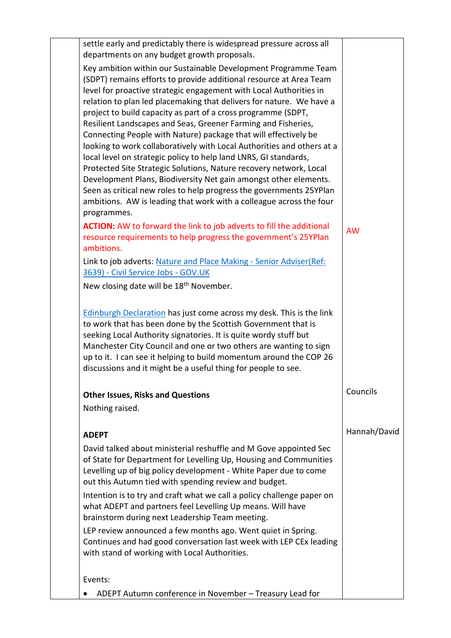| settle early and predictably there is widespread pressure across all<br>departments on any budget growth proposals.                        |              |
|--------------------------------------------------------------------------------------------------------------------------------------------|--------------|
| Key ambition within our Sustainable Development Programme Team                                                                             |              |
| (SDPT) remains efforts to provide additional resource at Area Team                                                                         |              |
| level for proactive strategic engagement with Local Authorities in                                                                         |              |
| relation to plan led placemaking that delivers for nature. We have a                                                                       |              |
| project to build capacity as part of a cross programme (SDPT,                                                                              |              |
| Resilient Landscapes and Seas, Greener Farming and Fisheries,                                                                              |              |
| Connecting People with Nature) package that will effectively be                                                                            |              |
| looking to work collaboratively with Local Authorities and others at a<br>local level on strategic policy to help land LNRS, GI standards, |              |
| Protected Site Strategic Solutions, Nature recovery network, Local                                                                         |              |
| Development Plans, Biodiversity Net gain amongst other elements.                                                                           |              |
| Seen as critical new roles to help progress the governments 25YPlan                                                                        |              |
| ambitions. AW is leading that work with a colleague across the four                                                                        |              |
| programmes.                                                                                                                                |              |
| <b>ACTION:</b> AW to forward the link to job adverts to fill the additional                                                                | <b>AW</b>    |
| resource requirements to help progress the government's 25YPlan                                                                            |              |
| ambitions.                                                                                                                                 |              |
| Link to job adverts: Nature and Place Making - Senior Adviser(Ref:                                                                         |              |
| 3639) - Civil Service Jobs - GOV.UK                                                                                                        |              |
| New closing date will be 18 <sup>th</sup> November.                                                                                        |              |
|                                                                                                                                            |              |
| Edinburgh Declaration has just come across my desk. This is the link<br>to work that has been done by the Scottish Government that is      |              |
| seeking Local Authority signatories. It is quite wordy stuff but                                                                           |              |
| Manchester City Council and one or two others are wanting to sign                                                                          |              |
| up to it. I can see it helping to build momentum around the COP 26                                                                         |              |
| discussions and it might be a useful thing for people to see.                                                                              |              |
| <b>Other Issues, Risks and Questions</b>                                                                                                   | Councils     |
| Nothing raised.                                                                                                                            |              |
|                                                                                                                                            |              |
| <b>ADEPT</b>                                                                                                                               | Hannah/David |
| David talked about ministerial reshuffle and M Gove appointed Sec                                                                          |              |
| of State for Department for Levelling Up, Housing and Communities                                                                          |              |
| Levelling up of big policy development - White Paper due to come                                                                           |              |
| out this Autumn tied with spending review and budget.                                                                                      |              |
| Intention is to try and craft what we call a policy challenge paper on                                                                     |              |
| what ADEPT and partners feel Levelling Up means. Will have                                                                                 |              |
| brainstorm during next Leadership Team meeting.                                                                                            |              |
| LEP review announced a few months ago. Went quiet in Spring.                                                                               |              |
| Continues and had good conversation last week with LEP CEx leading                                                                         |              |
| with stand of working with Local Authorities.                                                                                              |              |
| Events:                                                                                                                                    |              |
| ADEPT Autumn conference in November - Treasury Lead for                                                                                    |              |
|                                                                                                                                            |              |